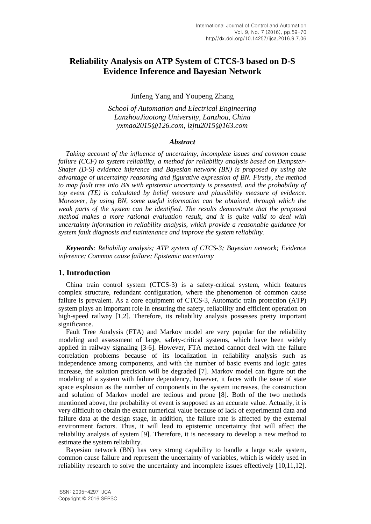# **Reliability Analysis on ATP System of CTCS-3 based on D-S Evidence Inference and Bayesian Network**

Jinfeng Yang and Youpeng Zhang

*School of Automation and Electrical Engineering LanzhouJiaotong University, Lanzhou, China yxmao2015@126.com, lzjtu2015@163.com*

### *Abstract*

*Taking account of the influence of uncertainty, incomplete issues and common cause failure (CCF) to system reliability, a method for reliability analysis based on Dempster-Shafer (D-S) evidence inference and Bayesian network (BN) is proposed by using the advantage of uncertainty reasoning and figurative expression of BN. Firstly, the method to map fault tree into BN with epistemic uncertainty is presented, and the probability of top event (TE) is calculated by belief measure and plausibility measure of evidence. Moreover, by using BN, some useful information can be obtained, through which the weak parts of the system can be identified. The results demonstrate that the proposed method makes a more rational evaluation result, and it is quite valid to deal with uncertainty information in reliability analysis, which provide a reasonable guidance for system fault diagnosis and maintenance and improve the system reliability.*

*Keywords: Reliability analysis; ATP system of CTCS-3; Bayesian network; Evidence inference; Common cause failure; Epistemic uncertainty*

## **1. Introduction**

China train control system (CTCS-3) is a safety-critical system, which features complex structure, redundant configuration, where the phenomenon of common cause failure is prevalent. As a core equipment of CTCS-3, Automatic train protection (ATP) system plays an important role in ensuring the safety, reliability and efficient operation on high-speed railway [1,2]. Therefore, its reliability analysis possesses pretty important significance.

Fault Tree Analysis (FTA) and Markov model are very popular for the reliability modeling and assessment of large, safety-critical systems, which have been widely applied in railway signaling [3-6]. However, FTA method cannot deal with the failure correlation problems because of its localization in reliability analysis such as independence among components, and with the number of basic events and logic gates increase, the solution precision will be degraded [7]. Markov model can figure out the modeling of a system with failure dependency, however, it faces with the issue of state space explosion as the number of components in the system increases, the construction and solution of Markov model are tedious and prone [8]. Both of the two methods mentioned above, the probability of event is supposed as an accurate value. Actually, it is very difficult to obtain the exact numerical value because of lack of experimental data and failure data at the design stage, in addition, the failure rate is affected by the external environment factors. Thus, it will lead to epistemic uncertainty that will affect the reliability analysis of system [9]. Therefore, it is necessary to develop a new method to estimate the system reliability.

Bayesian network (BN) has very strong capability to handle a large scale system, common cause failure and represent the uncertainty of variables, which is widely used in reliability research to solve the uncertainty and incomplete issues effectively [10,11,12].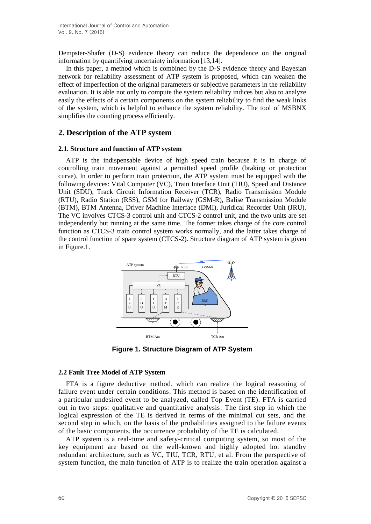Dempster-Shafer (D-S) evidence theory can reduce the dependence on the original information by quantifying uncertainty information [13,14].

In this paper, a method which is combined by the D-S evidence theory and Bayesian network for reliability assessment of ATP system is proposed, which can weaken the effect of imperfection of the original parameters or subjective parameters in the reliability evaluation. It is able not only to compute the system reliability indices but also to analyze easily the effects of a certain components on the system reliability to find the weak links of the system, which is helpful to enhance the system reliability. The tool of MSBNX simplifies the counting process efficiently.

# **2. Description of the ATP system**

#### **2.1. Structure and function of ATP system**

ATP is the indispensable device of high speed train because it is in charge of controlling train movement against a permitted speed profile (braking or protection curve). In order to perform train protection, the ATP system must be equipped with the following devices: Vital Computer (VC), Train Interface Unit (TIU), Speed and Distance Unit (SDU), Track Circuit Information Receiver (TCR), Radio Transmission Module (RTU), Radio Station (RSS), GSM for Railway (GSM-R), Balise Transmission Module (BTM), BTM Antenna, Driver Machine Interface (DMI), Juridical Recorder Unit (JRU). The VC involves CTCS-3 control unit and CTCS-2 control unit, and the two units are set independently but running at the same time. The former takes charge of the core control function as CTCS-3 train control system works normally, and the latter takes charge of the control function of spare system (CTCS-2). Structure diagram of ATP system is given in Figure.1.



**Figure 1. Structure Diagram of ATP System**

## **2.2 Fault Tree Model of ATP System**

FTA is a figure deductive method, which can realize the logical reasoning of failure event under certain conditions. This method is based on the identification of a particular undesired event to be analyzed, called Top Event (TE). FTA is carried out in two steps: qualitative and quantitative analysis. The first step in which the logical expression of the TE is derived in terms of the minimal cut sets, and the second step in which, on the basis of the probabilities assigned to the failure events of the basic components, the occurrence probability of the TE is calculated.

ATP system is a real-time and safety-critical computing system, so most of the key equipment are based on the well-known and highly adopted hot standby redundant architecture, such as VC, TIU, TCR, RTU, et al. From the perspective of system function, the main function of ATP is to realize the train operation against a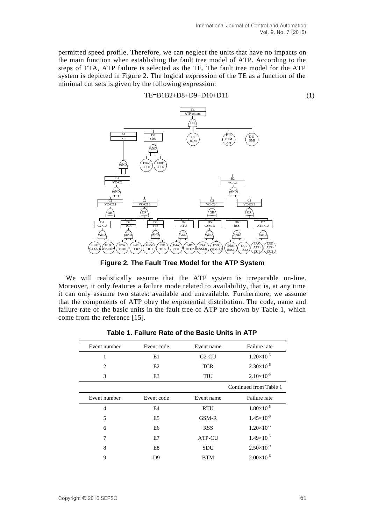$TE = B1B2 + D8 + D9 + D10 + D11$  (1)

permitted speed profile. Therefore, we can neglect the units that have no impacts on the main function when establishing the fault tree model of ATP. According to the steps of FTA, ATP failure is selected as the TE. The fault tree model for the ATP system is depicted in Figure 2. The logical expression of the TE as a function of the minimal cut sets is given by the following expression:



**Figure 2. The Fault Tree Model for the ATP System**

We will realistically assume that the ATP system is irreparable on-line. Moreover, it only features a failure mode related to availability, that is, at any time it can only assume two states: available and unavailable. Furthermore, we assume that the components of ATP obey the exponential distribution. The code, name and failure rate of the basic units in the fault tree of ATP are shown by Table 1, which come from the reference [15].

| Event number   | Event code     | Event name    | Failure rate           |
|----------------|----------------|---------------|------------------------|
| 1              | E1             | $C2-CU$       | $1.20\times10^{-5}$    |
| $\overline{c}$ | E2             | <b>TCR</b>    | $2.30\times10^{-6}$    |
| 3              | E3             | TIU           | $2.10\times10^{-5}$    |
|                |                |               | Continued from Table 1 |
| Event number   | Event code     | Event name    | Failure rate           |
| $\overline{4}$ | E4             | <b>RTU</b>    | $1.80\times10^{-5}$    |
| 5              | E <sub>5</sub> | GSM-R         | $1.45\times10^{-8}$    |
| 6              | E6             | <b>RSS</b>    | $1.20\times10^{-5}$    |
| 7              | E7             | <b>ATP-CU</b> | $1.49\times10^{-5}$    |
| 8              | E8             | <b>SDU</b>    | $2.50\times10^{-9}$    |
| 9              | D <sub>9</sub> | <b>BTM</b>    | $2.00\times10^{-6}$    |
|                |                |               |                        |

| Table 1. Failure Rate of the Basic Units in ATP |  |  |  |  |
|-------------------------------------------------|--|--|--|--|
|                                                 |  |  |  |  |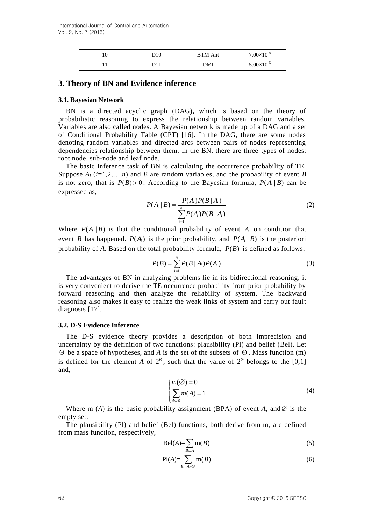| 10 | D10 | <b>BTM</b> Ant | $7.00\times10^{-8}$ |
|----|-----|----------------|---------------------|
|    | D11 | DMI            | $5.00\times10^{-6}$ |

## **3. Theory of BN and Evidence inference**

### **3.1. Bayesian Network**

BN is a directed acyclic graph (DAG), which is based on the theory of probabilistic reasoning to express the relationship between random variables. Variables are also called nodes. A Bayesian network is made up of a DAG and a set of Conditional Probability Table (CPT) [16]. In the DAG, there are some nodes denoting random variables and directed arcs between pairs of nodes representing dependencies relationship between them. In the BN, there are three types of nodes: root node, sub-node and leaf node.

The basic inference task of BN is calculating the occurrence probability of TE. Suppose  $A_i$  ( $i=1,2,...,n$ ) and *B* are random variables, and the probability of event *B* is not zero, that is  $P(B) > 0$ . According to the Bayesian formula,  $P(A | B)$  can be expressed as,

$$
P(A_i | B) = \frac{P(A_i)P(B | A_i)}{\sum_{i=1}^{n} P(A_i)P(B | A_i)}
$$
(2)

Where  $P(A_i | B)$  is that the conditional probability of event  $A_i$  on condition that event *B* has happened.  $P(A_i)$  is the prior probability, and  $P(A_i | B)$  is the posteriori probability of  $A$ . Based on the total probability formula,  $P(B)$  is defined as follows,

$$
P(B) = \sum_{i=1}^{n} P(B \mid A_i) P(A_i)
$$
 (3)

The advantages of BN in analyzing problems lie in its bidirectional reasoning, it is very convenient to derive the TE occurrence probability from prior probability by forward reasoning and then analyze the reliability of system. The backward reasoning also makes it easy to realize the weak links of system and carry out fault diagnosis [17].

#### **3.2. D-S Evidence Inference**

The D-S evidence theory provides a description of both imprecision and uncertainty by the definition of two functions: plausibility (Pl) and belief (Bel). Let  $\Theta$  be a space of hypotheses, and *A* is the set of the subsets of  $\Theta$ . Mass function (m) is defined for the element *A* of  $2^{\circ}$ , such that the value of  $2^{\circ}$  belongs to the [0,1] and,

$$
\begin{cases} m(\emptyset) = 0 \\ \sum_{A \subseteq \Theta} m(A) = 1 \end{cases} \tag{4}
$$

Where m  $(A)$  is the basic probability assignment (BPA) of event  $A$ , and  $\emptyset$  is the empty set.

The plausibility (Pl) and belief (Bel) functions, both derive from m, are defined from mass function, respectively,

$$
Bel(A) = \sum_{B \subseteq A} m(B) \tag{5}
$$

$$
\text{Pl}(A) = \sum_{B \cap A \neq \emptyset} \text{m}(B) \tag{6}
$$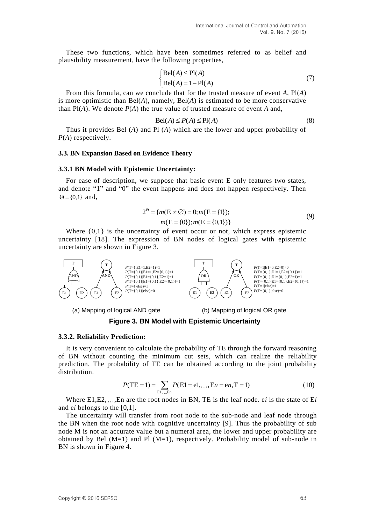These two functions, which have been sometimes referred to as belief and plausibility measurement, have the following properties,

$$
\begin{cases} \text{Bel}(A) \le \text{Pl}(A) \\ \text{Bel}(A) = 1 - \text{Pl}(A) \end{cases} \tag{7}
$$

From this formula, can we conclude that for the trusted measure of event *A*, Pl(*A*) is more optimistic than Bel(*A*), namely, Bel(*A*) is estimated to be more conservative than Pl(*A*). We denote *P*(*A*) the true value of trusted measure of event *A* and,

$$
Bel(A) \le P(A) \le Pl(A)
$$
 (8)

Thus it provides Bel (*A*) and Pl (*A*) which are the lower and upper probability of *P*(*A*) respectively.

#### **3.3. BN Expansion Based on Evidence Theory**

#### **3.3.1 BN Model with Epistemic Uncertainty:**

For ease of description, we suppose that basic event E only features two states, and denote "1" and "0" the event happens and does not happen respectively. Then  $\Theta = \{0,1\}$  and,

$$
2^{\Theta} = \{m(E \neq \emptyset) = 0; m(E = \{1\});
$$
  
 
$$
m(E = \{0\}); m(E = \{0,1\})
$$
\n(9)

Where  $\{0,1\}$  is the uncertainty of event occur or not, which express epistemic uncertainty [18]. The expression of BN nodes of logical gates with epistemic uncertainty are shown in Figure 3.



**Figure 3. BN Model with Epistemic Uncertainty**

#### **3.3.2. Reliability Prediction:**

It is very convenient to calculate the probability of TE through the forward reasoning of BN without counting the minimum cut sets, which can realize the reliability prediction. The probability of TE can be obtained according to the joint probability distribution.

$$
P(TE = 1) = \sum_{EL,..,En} P(E1 = e1,..,En = en, T = 1)
$$
 (10)

Where  $E1, E2, \ldots$ , En are the root nodes in BN, TE is the leaf node, e*i* is the state of E*i* and e*i* belongs to the [0,1].

The uncertainty will transfer from root node to the sub-node and leaf node through the BN when the root node with cognitive uncertainty [9]. Thus the probability of sub node M is not an accurate value but a numeral area, the lower and upper probability are obtained by Bel  $(M=1)$  and Pl  $(M=1)$ , respectively. Probability model of sub-node in BN is shown in Figure 4.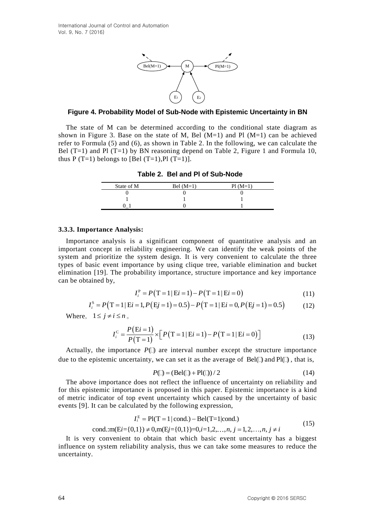

**Figure 4. Probability Model of Sub-Node with Epistemic Uncertainty in BN**

The state of M can be determined according to the conditional state diagram as shown in Figure 3. Base on the state of M, Bel  $(M=1)$  and Pl  $(M=1)$  can be achieved refer to Formula (5) and (6), as shown in Table 2. In the following, we can calculate the Bel  $(T=1)$  and Pl  $(T=1)$  by BN reasoning depend on Table 2, Figure 1 and Formula 10, thus P  $(T=1)$  belongs to [Bel  $(T=1)$ , Pl  $(T=1)$ ].

**Table 2. Bel and Pl of Sub-Node**

| State of M | Bel $(M=1)$ | $PI(M=1)$ |
|------------|-------------|-----------|
|            |             |           |
|            |             |           |
|            |             |           |
|            |             |           |

## **3.3.3. Importance Analysis:**

Importance analysis is a significant component of quantitative analysis and an important concept in reliability engineering. We can identify the weak points of the system and prioritize the system design. It is very convenient to calculate the three types of basic event importance by using clique tree, variable elimination and bucket elimination [19]. The probability importance, structure importance and key importance can be obtained by,

$$
I_i^P = P(T=1 | E i = 1) - P(T=1 | E i = 0)
$$
\n(11)

$$
I_i^P = P(T=1|E_i=1) - P(T=1|E_i=0)
$$
(11)  

$$
I_i^S = P(T=1|E_i=1, P(E_j=1)=0.5) - P(T=1|E_i=0, P(E_j=1)=0.5)
$$
(12)

Where,  $1 \le j \ne i \le n$ <sub>o</sub><br> $I^C = \frac{P(Ei = 1)}{P(Ei = 1)}$ 

$$
i \le n \, ,
$$
  
\n
$$
I_i^{\text{C}} = \frac{P(\text{E}i = 1)}{P(\text{T} = 1)} \times [P(\text{T} = 1 | \text{E}i = 1) - P(\text{T} = 1 | \text{E}i = 0)] \tag{13}
$$

Actually, the importance  $P(\Box)$  are interval number except the structure importance due to the epistemic uncertainty, we can set it as the average of  $Bel(\Box)$  and  $Pl(\Box)$ , that is,

$$
P(\square) = (\text{Bel}(\square) + \text{Pl}(\square)) / 2 \tag{14}
$$

The above importance does not reflect the influence of uncertainty on reliability and for this epistemic importance is proposed in this paper. Epistemic importance is a kind of metric indicator of top event uncertainty which caused by the uncertainty of basic events [9]. It can be calculated by the following expression, went uncertainty which caused b<br>ed by the following expression,<br>=  $Pl(T=1|cond.) - Bel(T=1|cond.)$ 

$$
I_i^{\text{E}} = \text{Pl}(T = 1 | \text{cond.}) - \text{Bel}(T = 1 | \text{cond.})
$$
\n
$$
\text{cond.:} \text{m}(E i = \{0, 1\}) \neq 0, \text{m}(E j = \{0, 1\}) = 0, i = 1, 2, \dots, n, j = 1, 2, \dots, n, j \neq i
$$
\n
$$
(15)
$$

It is very convenient to obtain that which basic event uncertainty has a biggest influence on system reliability analysis, thus we can take some measures to reduce the uncertainty.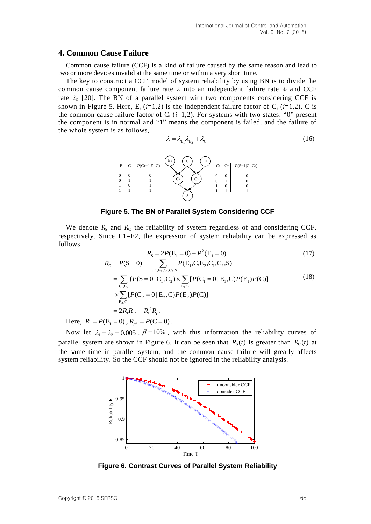## **4. Common Cause Failure**

Common cause failure (CCF) is a kind of failure caused by the same reason and lead to two or more devices invalid at the same time or within a very short time.

The key to construct a CCF model of system reliability by using BN is to divide the common cause component failure rate  $\lambda$  into an independent failure rate  $\lambda_I$  and CCF rate  $\lambda_c$  [20]. The BN of a parallel system with two components considering CCF is shown in Figure 5. Here, E<sub>i</sub> ( $i=1,2$ ) is the independent failure factor of C<sub>i</sub> ( $i=1,2$ ). C is the common cause failure factor of  $C_i$  ( $i=1,2$ ). For systems with two states: "0" present the component is in normal and "1" means the component is failed, and the failure of the whole system is as follows,

$$
\lambda = \lambda_{\mathrm{E}_1} \lambda_{\mathrm{E}_2} + \lambda_{\mathrm{C}} \tag{16}
$$



**Figure 5. The BN of Parallel System Considering CCF**

We denote  $R<sub>S</sub>$  and  $R<sub>C</sub>$  the reliability of system regardless of and considering CCF, respectively. Since E1=E2, the expression of system reliability can be expressed as follows,

$$
R_{\rm s} = 2P(E_1 = 0) - P^2(E_1 = 0)
$$
(17)  
\n
$$
R_{\rm c} = P(S = 0) = \sum_{\rm E_1.C.E_2.C_1.C_2.S} P(E_1, C, E_2, C_1, C_2, S)
$$
  
\n
$$
= \sum_{\rm C_1.C_2} \{P(S = 0 | C_1, C_2) \times \sum_{\rm E_1.C} [P(C_1 = 0 | E_1, C)P(E_1)P(C)]
$$
  
\n
$$
\times \sum_{\rm E_2.C} [P(C_2 = 0 | E_2, C)P(E_2)P(C)]
$$
  
\n
$$
= 2R_1R_{C^*} - R_1^2R_{C^*}
$$
(18)

Here,  $R_1 = P(E_1 = 0)$ ,  $R_{C^*} = P(C = 0)$ .

Now let  $\lambda_1 = \lambda_2 = 0.005$ ,  $\beta = 10\%$ , with this information the reliability curves of parallel system are shown in Figure 6. It can be seen that  $R<sub>S</sub>(t)$  is greater than  $R<sub>C</sub>(t)$  at the same time in parallel system, and the common cause failure will greatly affects system reliability. So the CCF should not be ignored in the reliability analysis.



**Figure 6. Contrast Curves of Parallel System Reliability**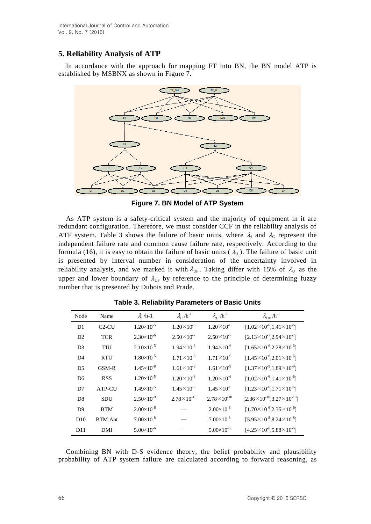# **5. Reliability Analysis of ATP**

In accordance with the approach for mapping FT into BN, the BN model ATP is established by MSBNX as shown in Figure 7.



**Figure 7. BN Model of ATP System**

As ATP system is a safety-critical system and the majority of equipment in it are redundant configuration. Therefore, we must consider CCF in the reliability analysis of ATP system. Table 3 shows the failure of basic units, where  $\lambda_I$  and  $\lambda_C$  represent the independent failure rate and common cause failure rate, respectively. According to the formula (16), it is easy to obtain the failure of basic units ( $\lambda_{\text{U}}$ ). The failure of basic unit is presented by interval number in consideration of the uncertainty involved in reliability analysis, and we marked it with  $\lambda_{\text{UF}}$ . Taking differ with 15% of  $\lambda_{\text{U}}$  as the upper and lower boundary of  $\lambda_{\text{UF}}$  by reference to the principle of determining fuzzy number that is presented by Dubois and Prade.

| Node           | Name           | $\lambda_{\rm r}$ /h-1 | $\lambda_c/h^{-1}$    | $\lambda_{\text{II}}$ /h <sup>-1</sup> | $\lambda_{\text{UF}}$ /h <sup>-1</sup>         |
|----------------|----------------|------------------------|-----------------------|----------------------------------------|------------------------------------------------|
| D1             | $C2-CU$        | $1.20\times10^{-5}$    | $1.20 \times 10^{-6}$ | $1.20 \times 10^{-6}$                  | $[1.02 \times 10^{-6}, 1.41 \times 10^{-6}]$   |
| D2             | <b>TCR</b>     | $2.30\times10^{-6}$    | $2.50 \times 10^{-7}$ | $2.50 \times 10^{-7}$                  | $[2.13 \times 10^{-7}, 2.94 \times 10^{-7}]$   |
| D <sub>3</sub> | TIU            | $2.10\times10^{-5}$    | $1.94\times10^{-6}$   | $1.94\times10^{-6}$                    | $[1.65 \times 10^{-6}, 2.28 \times 10^{-6}]$   |
| D <sub>4</sub> | <b>RTU</b>     | $1.80\times10^{-5}$    | $1.71 \times 10^{-6}$ | $1.71 \times 10^{-6}$                  | $[1.45\times10^{-6}, 2.01\times10^{-6}]$       |
| D <sub>5</sub> | $GSM-R$        | $1.45\times10^{-8}$    | $1.61\times10^{-9}$   | $1.61\times10^{-9}$                    | $[1.37\times10^{9}, 1.89\times10^{9}]$         |
| D <sub>6</sub> | <b>RSS</b>     | $1.20\times10^{-5}$    | $1.20 \times 10^{-6}$ | $1.20 \times 10^{-6}$                  | $[1.02 \times 10^{-6}, 1.41 \times 10^{-6}]$   |
| D <sub>7</sub> | ATP-CU         | $1.49\times10^{-5}$    | $1.45 \times 10^{-6}$ | $1.45 \times 10^{-6}$                  | $[1.23\times10^{-6}, 1.71\times10^{-6}]$       |
| D <sub>8</sub> | <b>SDU</b>     | $2.50\times10^{-9}$    | $2.78\times10^{-10}$  | $2.78\times10^{-10}$                   | $[2.36 \times 10^{-10}, 3.27 \times 10^{-10}]$ |
| D <sub>9</sub> | <b>BTM</b>     | $2.00\times10^{-6}$    |                       | $2.00\times10^{-6}$                    | $[1.70 \times 10^{-6}, 2.35 \times 10^{-6}]$   |
| D10            | <b>BTM</b> Ant | $7.00\times10^{-8}$    |                       | $7.00\times10^{-8}$                    | $[5.95\times10^{-8}, 8.24\times10^{-8}]$       |
| D11            | DMI            | $5.00\times10^{-6}$    |                       | $5.00\times10^{-6}$                    | $[4.25\times10^{-6}, 5.88\times10^{-6}]$       |

**Table 3. Reliability Parameters of Basic Units**

Combining BN with D-S evidence theory, the belief probability and plausibility probability of ATP system failure are calculated according to forward reasoning, as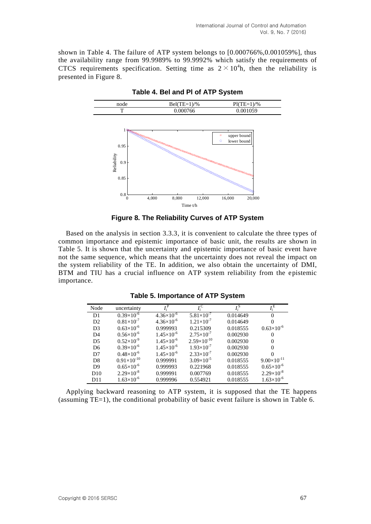shown in Table 4. The failure of ATP system belongs to  $[0.000766\%, 0.001059\%]$ , thus the availability range from 99.9989% to 99.9992% which satisfy the requirements of CTCS requirements specification. Setting time as  $2 \times 10^4$ h, then the reliability is presented in Figure 8.



**Table 4. Bel and Pl of ATP System**

**Figure 8. The Reliability Curves of ATP System**

Based on the analysis in section 3.3.3, it is convenient to calculate the three types of common importance and epistemic importance of basic unit, the results are shown in Table 5. It is shown that the uncertainty and epistemic importance of basic event have not the same sequence, which means that the uncertainty does not reveal the impact on the system reliability of the TE. In addition, we also obtain the uncertainty of DMI, BTM and TIU has a crucial influence on ATP system reliability from the epistemic importance.

|  | <b>Table 5. Importance of ATP System</b> |  |  |
|--|------------------------------------------|--|--|
|--|------------------------------------------|--|--|

| Node           | uncertainty          |                     |                      | $I_i^S$  | $I_i^{\rm E}$        |
|----------------|----------------------|---------------------|----------------------|----------|----------------------|
| D1             | $0.39\times10^{-6}$  | $4.36\times10^{-6}$ | $5.81\times10^{-7}$  | 0.014649 | $\Omega$             |
| D2             | $0.81\times10^{-7}$  | $4.36\times10^{-6}$ | $1.21\times10^{-7}$  | 0.014649 |                      |
| D <sub>3</sub> | $0.63\times10^{-6}$  | 0.999993            | 0.215309             | 0.018555 | $0.63\times10^{-6}$  |
| D <sub>4</sub> | $0.56\times10^{-6}$  | $1.45\times10^{-6}$ | $2.75\times10^{-7}$  | 0.002930 |                      |
| D <sub>5</sub> | $0.52\times10^{-9}$  | $1.45\times10^{-6}$ | $2.59\times10^{-10}$ | 0.002930 |                      |
| D <sub>6</sub> | $0.39\times10^{-6}$  | $1.45\times10^{-6}$ | $1.93\times10^{-7}$  | 0.002930 | $\Omega$             |
| D7             | $0.48\times10^{-6}$  | $1.45\times10^{-6}$ | $2.33\times10^{-7}$  | 0.002930 |                      |
| D <sub>8</sub> | $0.91\times10^{-10}$ | 0.999991            | $3.09\times10^{-5}$  | 0.018555 | $9.00\times10^{-11}$ |
| D <sub>9</sub> | $0.65\times10^{-6}$  | 0.999993            | 0.221968             | 0.018555 | $0.65\times10^{-6}$  |
| D10            | $2.29\times10^{-8}$  | 0.999991            | 0.007769             | 0.018555 | $2.29\times10^{-8}$  |
| D11            | $1.63\times10^{-6}$  | 0.999996            | 0.554921             | 0.018555 | $1.63\times10^{-6}$  |

Applying backward reasoning to ATP system, it is supposed that the TE happens (assuming TE=1), the conditional probability of basic event failure is shown in Table 6.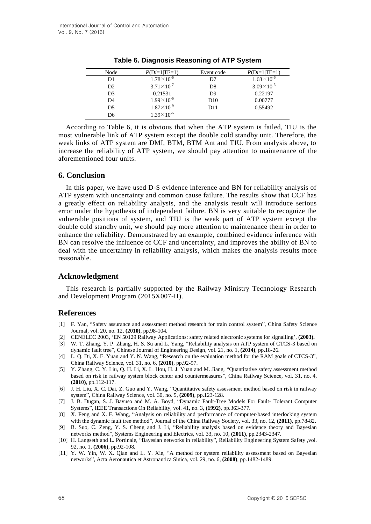| Node           | $P(Di=1 TE=1)$      | Event code      | $P(Di=1 TE=1)$      |
|----------------|---------------------|-----------------|---------------------|
| D1             | $1.78\times10^{-6}$ | D7              | $1.68\times10^{-6}$ |
| D <sub>2</sub> | $3.71\times10^{-7}$ | D <sup>8</sup>  | $3.09\times10^{-5}$ |
| D3             | 0.21531             | D <sup>9</sup>  | 0.22197             |
| D4             | $1.99\times10^{-6}$ | D <sub>10</sub> | 0.00777             |
| D <sub>5</sub> | $1.87\times10^{-9}$ | D <sub>11</sub> | 0.55492             |
| D6             | $1.39\times10^{-6}$ |                 |                     |

**Table 6. Diagnosis Reasoning of ATP System** 

According to Table 6, it is obvious that when the ATP system is failed, TIU is the most vulnerable link of ATP system except the double cold standby unit. Therefore, the weak links of ATP system are DMI, BTM, BTM Ant and TIU. From analysis above, to increase the reliability of ATP system, we should pay attention to maintenance of the aforementioned four units.

# **6. Conclusion**

In this paper, we have used D-S evidence inference and BN for reliability analysis of ATP system with uncertainty and common cause failure. The results show that CCF has a greatly effect on reliability analysis, and the analysis result will introduce serious error under the hypothesis of independent failure. BN is very suitable to recognize the vulnerable positions of system, and TIU is the weak part of ATP system except the double cold standby unit, we should pay more attention to maintenance them in order to enhance the reliability. Demonstrated by an example, combined evidence inference with BN can resolve the influence of CCF and uncertainty, and improves the ability of BN to deal with the uncertainty in reliability analysis, which makes the analysis results more reasonable.

## **Acknowledgment**

This research is partially supported by the Railway Ministry Technology Research and Development Program (2015X007-H).

# **References**

- [1] F. Yan, "Safety assurance and assessment method research for train control system", China Safety Science Journal, vol. 20, no. 12, **(2010)**, pp.98-104.
- [2] CENELEC 2003, "EN 50129 Railway Applications: safety related electronic systems for signalling", **(2003).**
- [3] W. T. Zhang, Y. P. Zhang, H. S. Su and L. Yang, "Reliability analysis on ATP system of CTCS-3 based on dynamic fault tree", Chinese Journal of Engineering Design, vol. 21, no. 1, **(2014)**, pp.18-26.
- [4] L. Q. Di, X. E. Yuan and Y. N. Wang, "Research on the evaluation method for the RAM goals of CTCS-3", China Railway Science, vol. 31, no. 6, **(2010)**, pp.92-97.
- [5] Y. Zhang, C. Y. Liu, Q. H. Li, X. L. Hou, H. J. Yuan and M. Jiang, "Quantitative safety assessment method based on risk in railway system block center and countermeasures", China Railway Science, vol. 31, no. 4, **(2010)**, pp.112-117.
- [6] J. H. Liu, X. C. Dai, Z. Guo and Y. Wang, "Quantitative safety assessment method based on risk in railway system", China Railway Science, vol. 30, no. 5, **(2009)**, pp.123-128.
- [7] J. B. Dugan, S. J. Bavuso and M. A. Boyd, "Dynamic Fault-Tree Models For Fault- Tolerant Computer Systems", IEEE Transactions On Reliability, vol. 41, no. 3, **(1992)**, pp.363-377.
- [8] X. Feng and X. F. Wang, "Analysis on reliability and performance of computer-based interlocking system with the dynamic fault tree method", Journal of the China Railway Society, vol. 33, no. 12, **(2011)**, pp.78-82.
- [9] B. Suo, C. Zeng, Y. S. Cheng and J. Li, "Reliability analysis based on evidence theory and Bayesian networks method", Systems Engineering and Electrics, vol. 33, no. 10, **(2011)**, pp.2343-2347.
- [10] H. Langseth and L. Portinale, "Bayesian networks in reliability", Reliability Engineering System Safety ,vol. 92, no. 1, **(2006)**, pp.92-108.
- [11] Y. W. Yin, W. X. Qian and L. Y. Xie, "A method for system reliability assessment based on Bayesian networks", Acta Aeronautica et Astronautica Sinica, vol. 29, no. 6, **(2008)**, pp.1482-1489.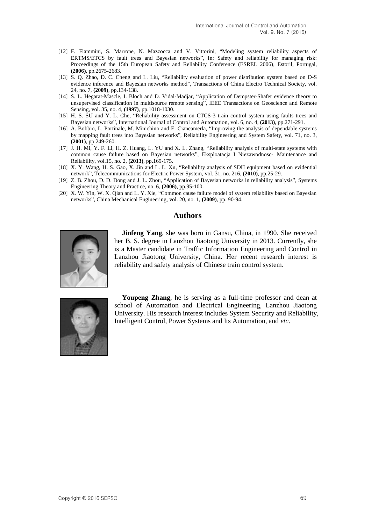- [12] F. Flammini, S. Marrone, N. Mazzocca and V. Vittorini, "Modeling system reliability aspects of ERTMS/ETCS by fault trees and Bayesian networks", In: Safety and reliability for managing risk: Proceedings of the 15th European Safety and Reliability Conference (ESREL 2006), Estoril, Portugal, **(2006)**, pp.2675-2683.
- [13] S. Q. Zhao, D. C. Cheng and L. Liu, "Reliability evaluation of power distribution system based on D-S evidence inference and Bayesian networks method", Transactions of China Electro Technical Society, vol. 24, no. 7, **(2009)**, pp.134-138.
- [14] S. L. Hegarat-Mascle, I. Bloch and D. Vidal-Madjar, "Application of Dempster-Shafer evidence theory to unsupervised classification in multisource remote sensing", IEEE Transactions on Geoscience and Remote Sensing, vol. 35, no. 4, **(1997)**, pp.1018-1030.
- [15] H. S. SU and Y. L. Che, "Reliability assessment on CTCS-3 train control system using faults trees and Bayesian networks", International Journal of Control and Automation, vol. 6, no. 4, **(2013)**, pp.271-291.
- [16] A. Bobbio, L. Portinale, M. Minichino and E. Ciancamerla, "Improving the analysis of dependable systems by mapping fault trees into Bayesian networks", Reliability Engineering and System Safety, vol. 71, no. 3, **(2001)**, pp.249-260.
- [17] J. H. Mi, Y. F. Li, H. Z. Huang, L. YU and X. L. Zhang, "Reliability analysis of multi-state systems with common cause failure based on Bayesian networks", Eksploatacja I Niezawodnosc- Maintenance and Reliability, vol.15, no. 2, **(2013)**, pp.169-175.
- [18] X. Y. Wang, H. S. Gao, X. Jin and L. L. Xu, "Reliability analysis of SDH equipment based on evidential network", Telecommunications for Electric Power System, vol. 31, no. 216, **(2010)**, pp.25-29.
- [19] Z. B. Zhou, D. D. Dong and J. L. Zhou, "Application of Bayesian networks in reliability analysis", Systems Engineering Theory and Practice, no. 6, **(2006)**, pp.95-100.
- [20] X. W. Yin, W. X. Qian and L. Y. Xie, "Common cause failure model of system reliability based on Bayesian networks", China Mechanical Engineering, vol. 20, no. 1, **(2009)**, pp. 90-94.

## **Authors**



**Jinfeng Yang**, she was born in Gansu, China, in 1990. She received her B. S. degree in Lanzhou Jiaotong University in 2013. Currently, she is a Master candidate in [Traffic](javascript:void(0);) [Information](javascript:void(0);) [Engineering](javascript:void(0);) [and](javascript:void(0);) [Control](javascript:void(0);) in Lanzhou Jiaotong University, China. Her recent research interest is reliability and safety analysis of Chinese train control system.



**Youpeng Zhang**, he is serving as a full-time professor and dean at school of Automation and Electrical Engineering, Lanzhou Jiaotong University. His research interest includes System Security and Reliability, Intelligent Control, Power Systems and Its Automation, and *etc*.